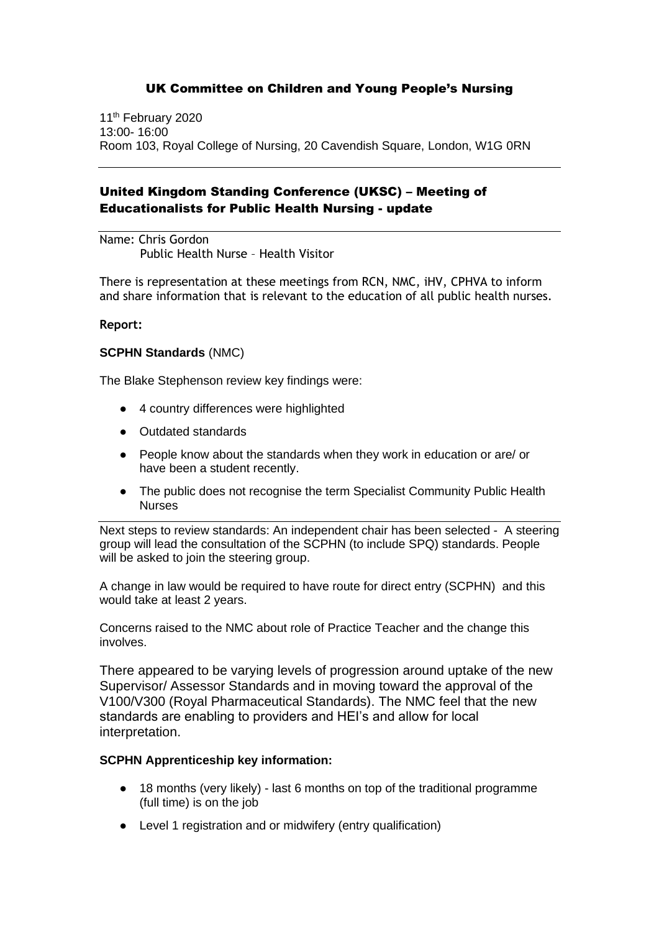11<sup>th</sup> February 2020 13:00- 16:00 Room 103, Royal College of Nursing, 20 Cavendish Square, London, W1G 0RN

## United Kingdom Standing Conference (UKSC) – Meeting of Educationalists for Public Health Nursing - update

Name: Chris Gordon Public Health Nurse – Health Visitor

There is representation at these meetings from RCN, NMC, iHV, CPHVA to inform and share information that is relevant to the education of all public health nurses.

### **Report:**

### **SCPHN Standards** (NMC)

The Blake Stephenson review key findings were:

- 4 country differences were highlighted
- Outdated standards
- People know about the standards when they work in education or are/ or have been a student recently.
- The public does not recognise the term Specialist Community Public Health Nurses

Next steps to review standards: An independent chair has been selected - A steering group will lead the consultation of the SCPHN (to include SPQ) standards. People will be asked to join the steering group.

A change in law would be required to have route for direct entry (SCPHN) and this would take at least 2 years.

Concerns raised to the NMC about role of Practice Teacher and the change this involves.

There appeared to be varying levels of progression around uptake of the new Supervisor/ Assessor Standards and in moving toward the approval of the V100/V300 (Royal Pharmaceutical Standards). The NMC feel that the new standards are enabling to providers and HEI's and allow for local interpretation.

### **SCPHN Apprenticeship key information:**

- 18 months (very likely) last 6 months on top of the traditional programme (full time) is on the job
- Level 1 registration and or midwifery (entry qualification)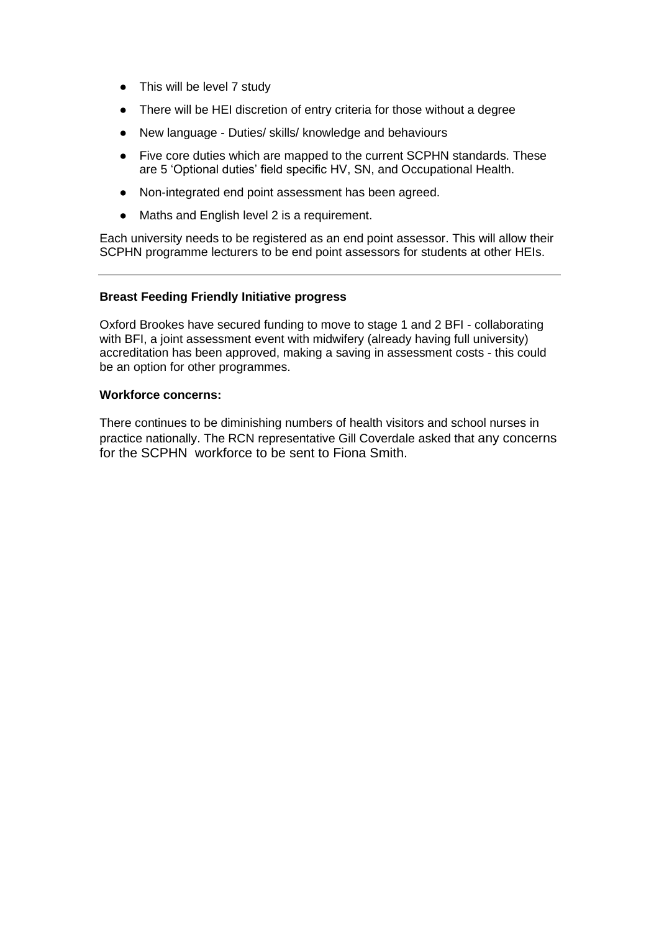- This will be level 7 study
- There will be HEI discretion of entry criteria for those without a degree
- New language Duties/ skills/ knowledge and behaviours
- Five core duties which are mapped to the current SCPHN standards. These are 5 'Optional duties' field specific HV, SN, and Occupational Health.
- Non-integrated end point assessment has been agreed.
- Maths and English level 2 is a requirement.

Each university needs to be registered as an end point assessor. This will allow their SCPHN programme lecturers to be end point assessors for students at other HEIs.

### **Breast Feeding Friendly Initiative progress**

Oxford Brookes have secured funding to move to stage 1 and 2 BFI - collaborating with BFI, a joint assessment event with midwifery (already having full university) accreditation has been approved, making a saving in assessment costs - this could be an option for other programmes.

### **Workforce concerns:**

There continues to be diminishing numbers of health visitors and school nurses in practice nationally. The RCN representative Gill Coverdale asked that any concerns for the SCPHN workforce to be sent to Fiona Smith.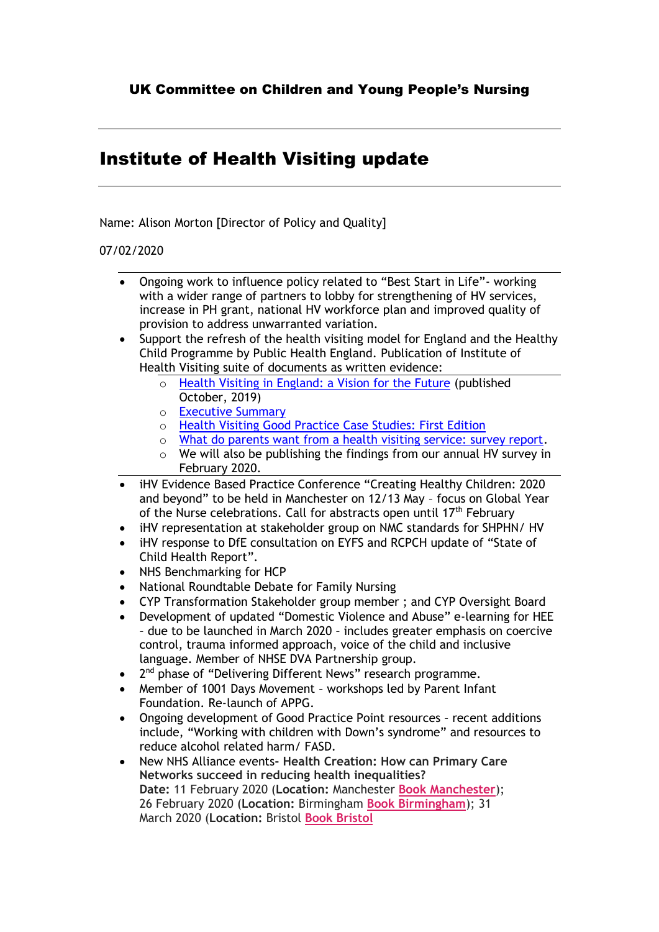## Institute of Health Visiting update

Name: Alison Morton [Director of Policy and Quality]

## 07/02/2020

- Ongoing work to influence policy related to "Best Start in Life"- working with a wider range of partners to lobby for strengthening of HV services, increase in PH grant, national HV workforce plan and improved quality of provision to address unwarranted variation.
- Support the refresh of the health visiting model for England and the Healthy Child Programme by Public Health England. Publication of Institute of Health Visiting suite of documents as written evidence:
	- o [Health Visiting in England: a Vision for the Future](https://ihv.org.uk/wp-content/uploads/2019/11/7.11.19-Health-Visiting-in-England-Vision-FINAL-VERSION.pdf) (published October, 2019)
	- o [Executive Summary](https://ihv.org.uk/wp-content/uploads/2020/01/HV-Vision-Executive-Summary-FINAL-VERSION-20.11.19.pdf)
	- o [Health Visiting Good Practice Case Studies: First Edition](https://ihv.org.uk/wp-content/uploads/2020/01/HV-Vision-Case-Studies-First-Edition-FINAL-VERSION-21.1.20.pdf)
	- o [What do parents want from a health visiting service: survey report.](https://ihv.org.uk/wp-content/uploads/2020/01/HV-Vision-Channel-Mum-Study-FINAL-VERSION-24.1.20.pdf)
	- o We will also be publishing the findings from our annual HV survey in February 2020.
- iHV Evidence Based Practice Conference "Creating Healthy Children: 2020 and beyond" to be held in Manchester on 12/13 May – focus on Global Year of the Nurse celebrations. Call for abstracts open until 17<sup>th</sup> February
- iHV representation at stakeholder group on NMC standards for SHPHN/ HV
- iHV response to DfE consultation on EYFS and RCPCH update of "State of Child Health Report".
- NHS Benchmarking for HCP
- National Roundtable Debate for Family Nursing
- CYP Transformation Stakeholder group member ; and CYP Oversight Board
- Development of updated "Domestic Violence and Abuse" e-learning for HEE – due to be launched in March 2020 – includes greater emphasis on coercive control, trauma informed approach, voice of the child and inclusive language. Member of NHSE DVA Partnership group.
- 2<sup>nd</sup> phase of "Delivering Different News" research programme.
- Member of 1001 Days Movement workshops led by Parent Infant Foundation. Re-launch of APPG.
- Ongoing development of Good Practice Point resources recent additions include, "Working with children with Down's syndrome" and resources to reduce alcohol related harm/ FASD.
- New NHS Alliance events**- Health Creation: How can Primary Care Networks succeed in reducing health inequalities? Date:** 11 February 2020 (**Location:** Manchester **[Book Manchester](https://www.eventbrite.co.uk/e/health-creation-how-can-pcns-succeed-in-reducing-health-inequalities-tickets-84728383877)**); 26 February 2020 (**Location:** Birmingham **[Book Birmingham](https://www.eventbrite.co.uk/e/health-creation-how-can-pcns-succeed-in-reducing-health-inequalities-tickets-84729306637)**); 31 March 2020 (**Location:** Bristol **[Book Bristol](https://www.eventbrite.co.uk/e/health-creation-how-can-pcns-succeed-in-reducing-health-inequalities-tickets-84729579453)**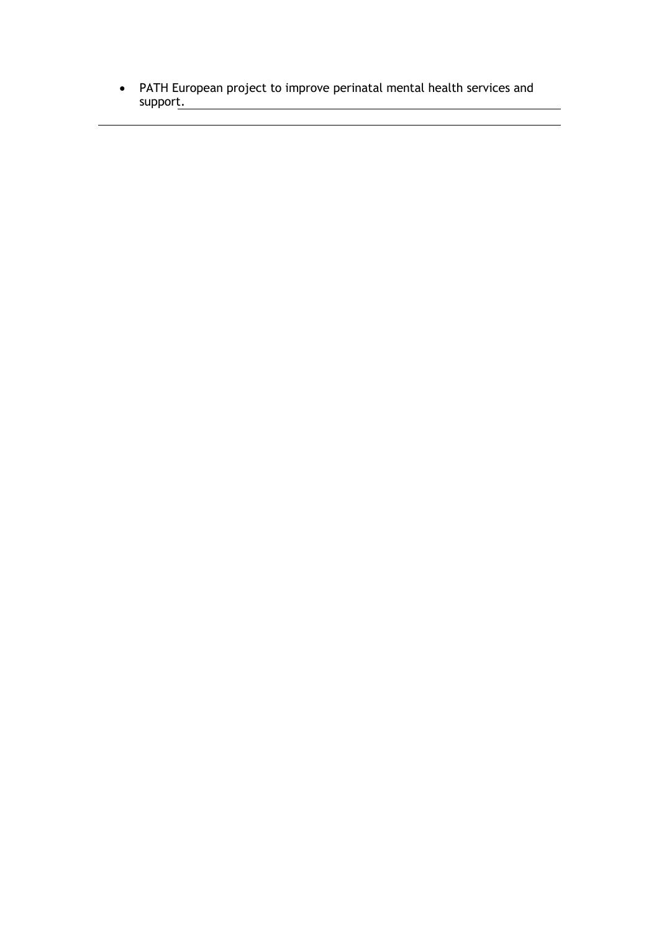• PATH European project to improve perinatal mental health services and support.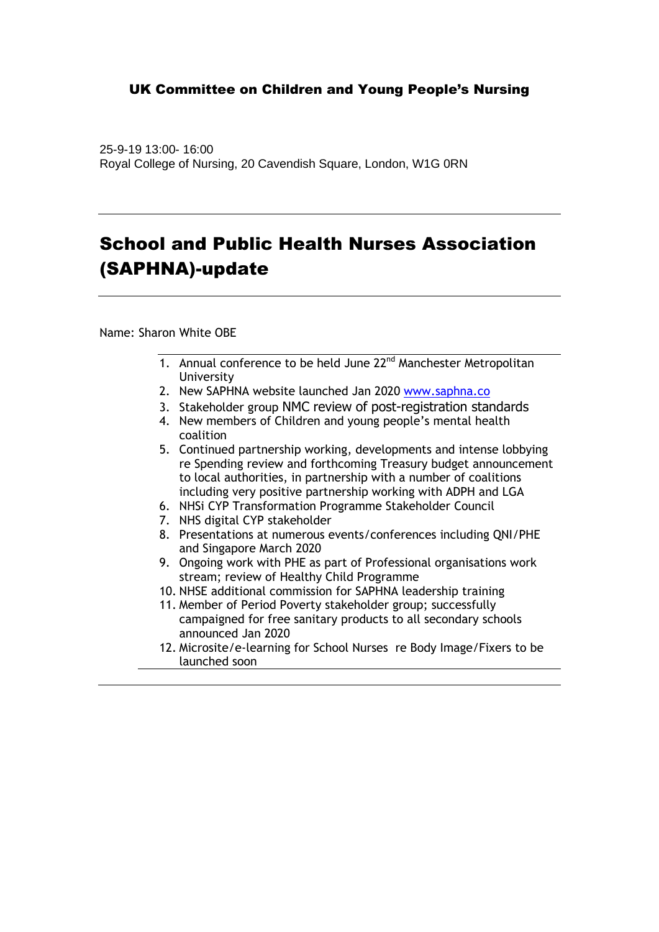25-9-19 13:00- 16:00 Royal College of Nursing, 20 Cavendish Square, London, W1G 0RN

# School and Public Health Nurses Association (SAPHNA)-update

Name: Sharon White OBE

- 1. Annual conference to be held June 22<sup>nd</sup> Manchester Metropolitan University
- 2. New SAPHNA website launched Jan 2020 [www.saphna.co](http://www.saphna.co/)
- 3. Stakeholder group NMC review of post-registration standards
- 4. New members of Children and young people's mental health coalition
- 5. Continued partnership working, developments and intense lobbying re Spending review and forthcoming Treasury budget announcement to local authorities, in partnership with a number of coalitions including very positive partnership working with ADPH and LGA
- 6. NHSi CYP Transformation Programme Stakeholder Council
- 7. NHS digital CYP stakeholder
- 8. Presentations at numerous events/conferences including QNI/PHE and Singapore March 2020
- 9. Ongoing work with PHE as part of Professional organisations work stream; review of Healthy Child Programme
- 10. NHSE additional commission for SAPHNA leadership training
- 11. Member of Period Poverty stakeholder group; successfully campaigned for free sanitary products to all secondary schools announced Jan 2020
- 12. Microsite/e-learning for School Nurses re Body Image/Fixers to be launched soon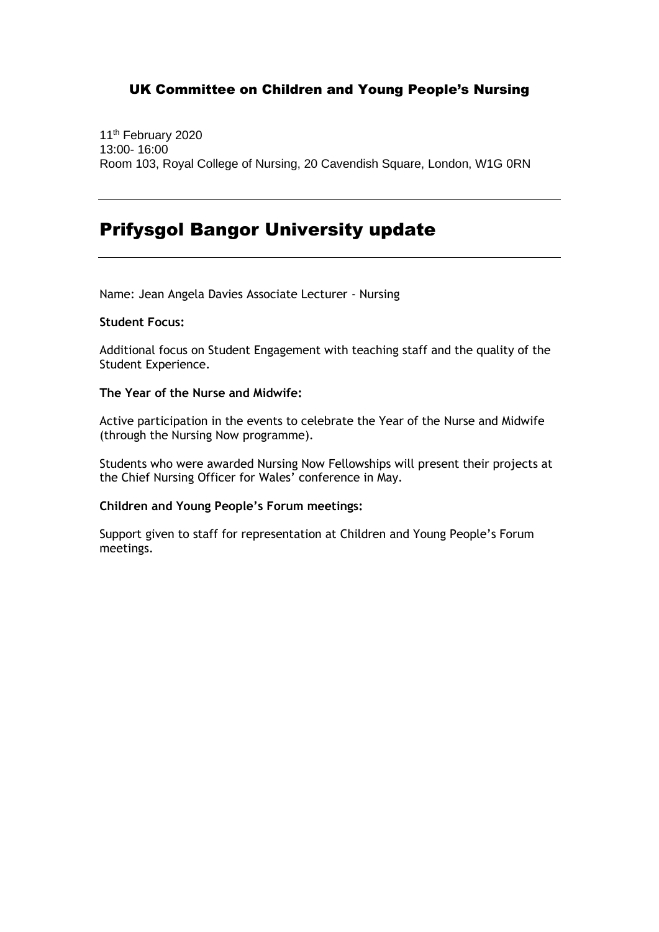11<sup>th</sup> February 2020 13:00- 16:00 Room 103, Royal College of Nursing, 20 Cavendish Square, London, W1G 0RN

## Prifysgol Bangor University update

Name: Jean Angela Davies Associate Lecturer - Nursing

### **Student Focus:**

Additional focus on Student Engagement with teaching staff and the quality of the Student Experience.

### **The Year of the Nurse and Midwife:**

Active participation in the events to celebrate the Year of the Nurse and Midwife (through the Nursing Now programme).

Students who were awarded Nursing Now Fellowships will present their projects at the Chief Nursing Officer for Wales' conference in May.

### **Children and Young People's Forum meetings:**

Support given to staff for representation at Children and Young People's Forum meetings.